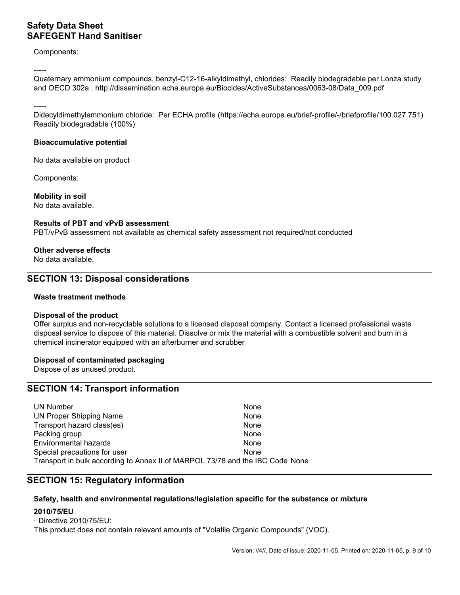## **Sicherheitsdatenblatt SAFEGENT Desinfektionsmittel für die Haut**

Komponenten:

-----

Quartäre Ammoniumverbindungen, Benzyl-C12-16-alkyldimethyl, Chloride: Biologisch abbaubar gemäß Lonza-Studie und OECD 302a . http://dissemination.echa.europa.eu/Biocides/ActiveSubstances/0063-08/Data\_009.pdf

-----

Didecyldimethylammoniumchlorid: Gemäß ECHA-Profil (https://echa.europa.eu/brief-profile/-/briefprofile/100.027.751) biologisch abbaubar (100%)

### **Bioakkumulationspotenzial**

Keine Daten zum Produkt vorhanden

Komponenten:

### **Mobilität im Boden**

Keine Daten verfügbar.

### **Ergebnisse der PBT- und vPvB-Beurteilung**

PBT/vPvB-Beurteilung nicht verfügbar, da Stoffsicherheitsbeurteilung nicht erforderlich/nicht durchgeführt

### **Andere Nebenwirkungen**

Keine Daten verfügbar.

## **ABSCHNITT 13: Hinweise zur Entsorgung**

### **Abfallbehandlungsmethoden**

### **Entsorgung des Produkts**

Bieten Sie überschüssige und nicht recycelbare Lösungen einem lizenzierten Entsorgungsunternehmen an. Wenden Sie sich zur Entsorgung dieses Materials an einen zugelassenen professionellen Abfallentsorgungsdienst. Das Material mit einem brennbaren Lösungsmittel auflösen oder mischen und in einer chemischen Verbrennungsanlage mit Nachbrenner und Wäscher verbrennen.

#### **Entsorgung kontaminierter Verpackungen**

Als unbenutztes Produkt entsorgen.

# **ABSCHNITT 14: Angaben zum Transport**

| UN-Nummer                                                                               | Keine |
|-----------------------------------------------------------------------------------------|-------|
| Ordnungsgemäße UN-Versandbezeichnung                                                    | Keine |
| Transportgefahrenklasse(n)                                                              | Keine |
| Verpackungsgruppe                                                                       | Keine |
| Umweltgefahren                                                                          | Keine |
| Besondere Vorsichtsmaßnahmen für den Benutzer                                           | Keine |
| Massengutbeförderung gemäß Anhang II des MARPOL-Übereinkommens 73/78 und gemäß IBC-Code | Keine |

# **ABSCHNITT 15: Vorschriften**

#### **Vorschriften zu Sicherheit, Gesundheits- und Umweltschutz/spezifische Rechtsvorschriften für den Stoff oder das Gemisch 2010/75/EU** - Richtlinie 2010/75/EU

Dieses Produkt enthält keine relevanten Mengen an "flüchtigen organischen Verbindungen" (VOC).